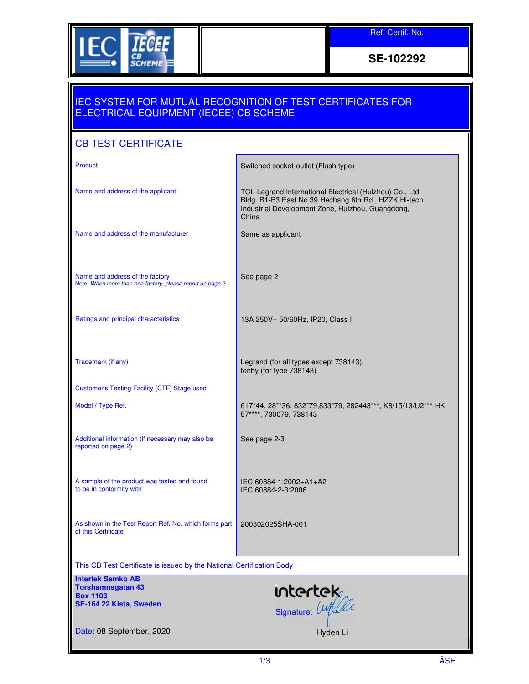

**SE-102292** 

## IEC SYSTEM FOR MUTUAL RECOGNITION OF TEST CERTIFICATES FOR ELECTRICAL EQUIPMENT (IECEE) CB SCHEME

## CB TEST CERTIFICATE

| Product                                                                                            | Switched socket-outlet (Flush type)                                                                                                                                           |
|----------------------------------------------------------------------------------------------------|-------------------------------------------------------------------------------------------------------------------------------------------------------------------------------|
| Name and address of the applicant                                                                  | TCL-Legrand International Electrical (Huizhou) Co., Ltd.<br>Bldg. B1-B3 East No.39 Hechang 6th Rd., HZZK Hi-tech<br>Industrial Development Zone, Huizhou, Guangdong,<br>China |
| Name and address of the manufacturer                                                               | Same as applicant                                                                                                                                                             |
| Name and address of the factory<br>Note: When more than one factory, please report on page 2       | See page 2                                                                                                                                                                    |
| Ratings and principal characteristics                                                              | 13A 250V~ 50/60Hz, IP20, Class I                                                                                                                                              |
| Trademark (if any)                                                                                 | Legrand (for all types except 738143),<br>tenby (for type 738143)                                                                                                             |
| Customer's Testing Facility (CTF) Stage used                                                       |                                                                                                                                                                               |
| Model / Type Ref.                                                                                  | 617*44, 28**36, 832*79, 833*79, 282443***, K8/15/13/U2***-HK,<br>57****, 730079, 738143                                                                                       |
| Additional information (if necessary may also be<br>reported on page 2)                            | See page 2-3                                                                                                                                                                  |
| A sample of the product was tested and found<br>to be in conformity with                           | IEC 60884-1:2002+A1+A2<br>IEC 60884-2-3:2006                                                                                                                                  |
| As shown in the Test Report Ref. No. which forms part<br>of this Certificate                       | 200302025SHA-001                                                                                                                                                              |
| This CB Test Certificate is issued by the National Certification Body                              |                                                                                                                                                                               |
| <b>Intertek Semko AB</b><br><b>Torshamnsgatan 43</b><br><b>Box 1103</b><br>SE-164 22 Kista, Sweden | untertek                                                                                                                                                                      |
| Date: 08 September, 2020                                                                           | Hyden Li                                                                                                                                                                      |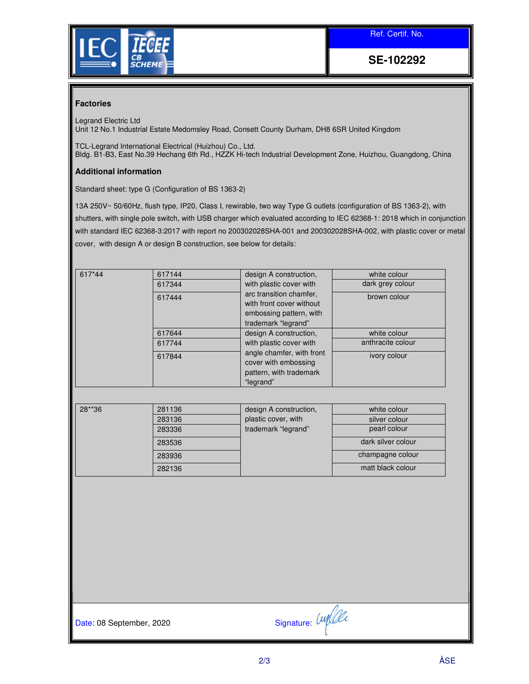Ref. Certif. No.



**SE-102292** 

## **Factories**

Legrand Electric Ltd Unit 12 No.1 Industrial Estate Medomsley Road, Consett County Durham, DH8 6SR United Kingdom

TCL-Legrand International Electrical (Huizhou) Co., Ltd. Bldg. B1-B3, East No.39 Hechang 6th Rd., HZZK Hi-tech Industrial Development Zone, Huizhou, Guangdong, China

## **Additional information**

Standard sheet: type G (Configuration of BS 1363-2)

13A 250V~ 50/60Hz, flush type, IP20, Class I, rewirable, two way Type G outlets (configuration of BS 1363-2), with shutters, with single pole switch, with USB charger which evaluated according to IEC 62368-1: 2018 which in conjunction with standard IEC 62368-3:2017 with report no 200302028SHA-001 and 200302028SHA-002, with plastic cover or metal cover, with design A or design B construction, see below for details:

| 617*44 | 617144<br>617344<br>617444 | design A construction,<br>with plastic cover with<br>arc transition chamfer.              | white colour<br>dark grey colour<br>brown colour |
|--------|----------------------------|-------------------------------------------------------------------------------------------|--------------------------------------------------|
|        |                            | with front cover without<br>embossing pattern, with<br>trademark "legrand"                |                                                  |
|        | 617644                     | design A construction,                                                                    | white colour                                     |
|        | 617744                     | with plastic cover with                                                                   | anthracite colour                                |
|        | 617844                     | angle chamfer, with front<br>cover with embossing<br>pattern, with trademark<br>"legrand" | ivory colour                                     |

| 28**36 | 281136 | design A construction, | white colour       |
|--------|--------|------------------------|--------------------|
|        | 283136 | plastic cover, with    | silver colour      |
|        | 283336 | trademark "legrand"    | pearl colour       |
|        | 283536 |                        | dark silver colour |
|        | 283936 |                        | champagne colour   |
|        | 282136 |                        | matt black colour  |

Date: 08 September, 2020 Signature:  $\text{Unif } \mathcal{U}$